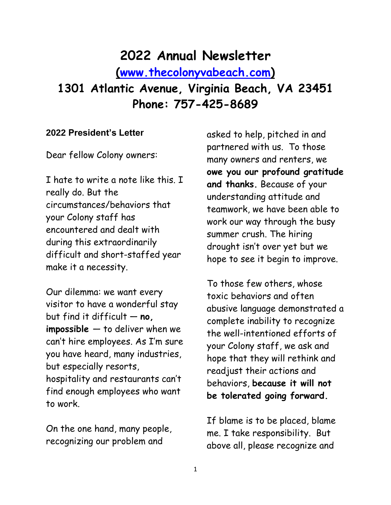# **2022 Annual Newsletter**

**[\(www.thecolonyvabeach.com\)](http://www.thecolonyvabeach.com/)**

**1301 Atlantic Avenue, Virginia Beach, VA 23451 Phone: 757-425-8689**

#### **2022 President's Letter**

Dear fellow Colony owners:

I hate to write a note like this. I really do. But the circumstances/behaviors that your Colony staff has encountered and dealt with during this extraordinarily difficult and short-staffed year make it a necessity.

Our dilemma: we want every visitor to have a wonderful stay but find it difficult — **no, impossible** — to deliver when we can't hire employees. As I'm sure you have heard, many industries, but especially resorts, hospitality and restaurants can't find enough employees who want to work.

On the one hand, many people, recognizing our problem and

asked to help, pitched in and partnered with us. To those many owners and renters, we **owe you our profound gratitude and thanks.** Because of your understanding attitude and teamwork, we have been able to work our way through the busy summer crush. The hiring drought isn't over yet but we hope to see it begin to improve.

To those few others, whose toxic behaviors and often abusive language demonstrated a complete inability to recognize the well-intentioned efforts of your Colony staff, we ask and hope that they will rethink and readjust their actions and behaviors, **because it will not be tolerated going forward.**

If blame is to be placed, blame me. I take responsibility. But above all, please recognize and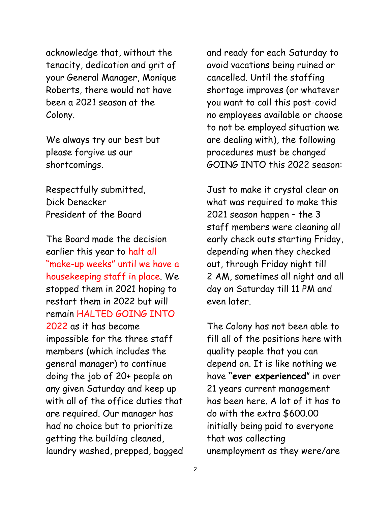acknowledge that, without the tenacity, dedication and grit of your General Manager, Monique Roberts, there would not have been a 2021 season at the Colony.

We always try our best but please forgive us our shortcomings.

Respectfully submitted, Dick Denecker President of the Board

The Board made the decision earlier this year to halt all "make-up weeks" until we have a housekeeping staff in place. We stopped them in 2021 hoping to restart them in 2022 but will remain HALTED GOING INTO 2022 as it has become impossible for the three staff members (which includes the general manager) to continue doing the job of 20+ people on any given Saturday and keep up with all of the office duties that are required. Our manager has had no choice but to prioritize getting the building cleaned, laundry washed, prepped, bagged and ready for each Saturday to avoid vacations being ruined or cancelled. Until the staffing shortage improves (or whatever you want to call this post-covid no employees available or choose to not be employed situation we are dealing with), the following procedures must be changed GOING INTO this 2022 season:

Just to make it crystal clear on what was required to make this 2021 season happen – the 3 staff members were cleaning all early check outs starting Friday, depending when they checked out, through Friday night till 2 AM, sometimes all night and all day on Saturday till 11 PM and even later.

The Colony has not been able to fill all of the positions here with quality people that you can depend on. It is like nothing we have **"ever experienced**" in over 21 years current management has been here. A lot of it has to do with the extra \$600.00 initially being paid to everyone that was collecting unemployment as they were/are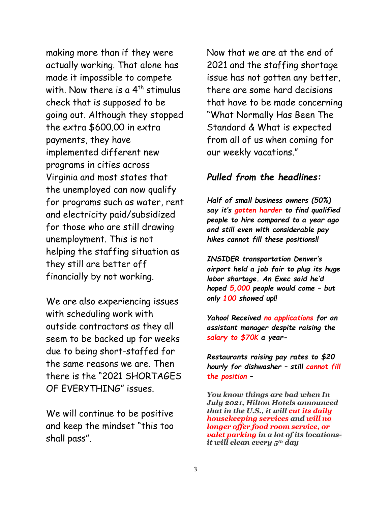making more than if they were actually working. That alone has made it impossible to compete with. Now there is a  $4<sup>th</sup>$  stimulus check that is supposed to be going out. Although they stopped the extra \$600.00 in extra payments, they have implemented different new programs in cities across Virginia and most states that the unemployed can now qualify for programs such as water, rent and electricity paid/subsidized for those who are still drawing unemployment. This is not helping the staffing situation as they still are better off financially by not working.

We are also experiencing issues with scheduling work with outside contractors as they all seem to be backed up for weeks due to being short-staffed for the same reasons we are. Then there is the "2021 SHORTAGES OF EVERYTHING" issues.

We will continue to be positive and keep the mindset "this too shall pass".

Now that we are at the end of 2021 and the staffing shortage issue has not gotten any better, there are some hard decisions that have to be made concerning "What Normally Has Been The Standard & What is expected from all of us when coming for our weekly vacations."

#### *Pulled from the headlines:*

*Half of small business owners (50%) say it's gotten harder to find qualified people to hire compared to a year ago and still even with considerable pay hikes cannot fill these positions!!*

*INSIDER transportation Denver's airport held a job fair to plug its huge labor shortage. An Exec said he'd hoped 5,000 people would come – but only 100 showed up!!*

*Yahoo! Received no applications for an assistant manager despite raising the salary to \$70K a year-*

*Restaurants raising pay rates to \$20 hourly for dishwasher – still cannot fill the position –*

*You know things are bad when In July 2021, Hilton Hotels announced that in the U.S., it will cut its daily housekeeping services and will no longer offer food room service, or valet parking in a lot of its locationsit will clean every 5th day*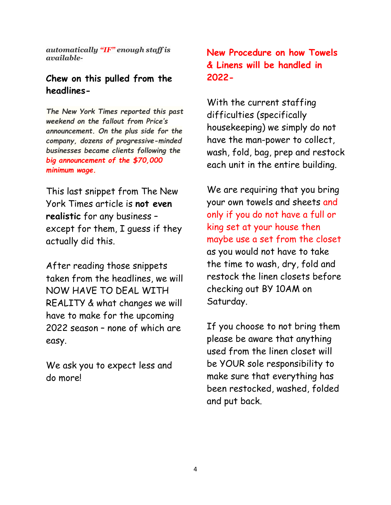*automatically "IF" enough staff is available-*

### **Chew on this pulled from the headlines-**

*The New York Times reported this past weekend on the fallout from Price's announcement. On the plus side for the company, dozens of progressive-minded businesses became clients following the big announcement of the \$70,000 minimum wage.*

This last snippet from The New York Times article is **not even realistic** for any business – except for them, I guess if they actually did this.

After reading those snippets taken from the headlines, we will NOW HAVE TO DEAL WITH REALITY & what changes we will have to make for the upcoming 2022 season – none of which are easy.

We ask you to expect less and do more!

# **New Procedure on how Towels & Linens will be handled in 2022-**

With the current staffing difficulties (specifically housekeeping) we simply do not have the man-power to collect, wash, fold, bag, prep and restock each unit in the entire building.

We are requiring that you bring your own towels and sheets and only if you do not have a full or king set at your house then maybe use a set from the closet as you would not have to take the time to wash, dry, fold and restock the linen closets before checking out BY 10AM on Saturday.

If you choose to not bring them please be aware that anything used from the linen closet will be YOUR sole responsibility to make sure that everything has been restocked, washed, folded and put back.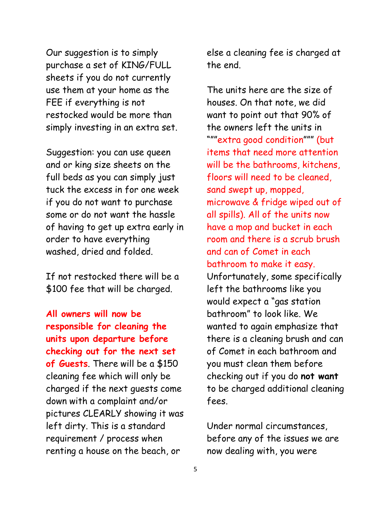Our suggestion is to simply purchase a set of KING/FULL sheets if you do not currently use them at your home as the FEE if everything is not restocked would be more than simply investing in an extra set.

Suggestion: you can use queen and or king size sheets on the full beds as you can simply just tuck the excess in for one week if you do not want to purchase some or do not want the hassle of having to get up extra early in order to have everything washed, dried and folded.

If not restocked there will be a \$100 fee that will be charged.

**All owners will now be responsible for cleaning the units upon departure before checking out for the next set of Guests**. There will be a \$150 cleaning fee which will only be charged if the next guests come down with a complaint and/or pictures CLEARLY showing it was left dirty. This is a standard requirement / process when renting a house on the beach, or

else a cleaning fee is charged at the end.

The units here are the size of houses. On that note, we did want to point out that 90% of the owners left the units in """extra good condition""" (but items that need more attention will be the bathrooms, kitchens, floors will need to be cleaned, sand swept up, mopped, microwave & fridge wiped out of all spills). All of the units now have a mop and bucket in each room and there is a scrub brush and can of Comet in each bathroom to make it easy. Unfortunately, some specifically left the bathrooms like you would expect a "gas station bathroom" to look like. We wanted to again emphasize that there is a cleaning brush and can of Comet in each bathroom and you must clean them before checking out if you do **not want** to be charged additional cleaning fees.

Under normal circumstances, before any of the issues we are now dealing with, you were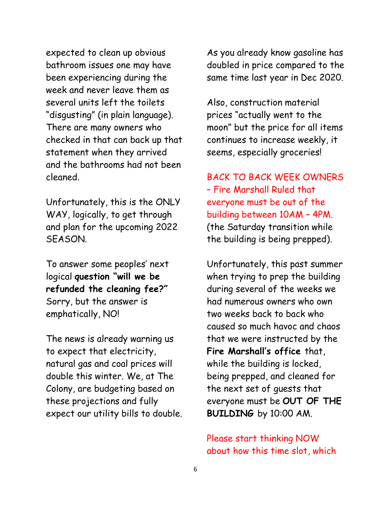expected to clean up obvious bathroom issues one may have been experiencing during the week and never leave them as several units left the toilets "disgusting" (in plain language). There are many owners who checked in that can back up that statement when they arrived and the bathrooms had not been cleaned.

Unfortunately, this is the ONLY WAY, logically, to get through and plan for the upcoming 2022 SEASON.

To answer some peoples' next logical **question "will we be refunded the cleaning fee?"** Sorry, but the answer is emphatically, NO!

The news is already warning us to expect that electricity, natural gas and coal prices will double this winter. We, at The Colony, are budgeting based on these projections and fully expect our utility bills to double. As you already know gasoline has doubled in price compared to the same time last year in Dec 2020.

Also, construction material prices "actually went to the moon" but the price for all items continues to increase weekly, it seems, especially groceries!

BACK TO BACK WEEK OWNERS – Fire Marshall Ruled that everyone must be out of the building between 10AM – 4PM. (the Saturday transition while the building is being prepped).

Unfortunately, this past summer when trying to prep the building during several of the weeks we had numerous owners who own two weeks back to back who caused so much havoc and chaos that we were instructed by the **Fire Marshall's office** that, while the building is locked, being prepped, and cleaned for the next set of guests that everyone must be **OUT OF THE BUILDING** by 10:00 AM.

Please start thinking NOW about how this time slot, which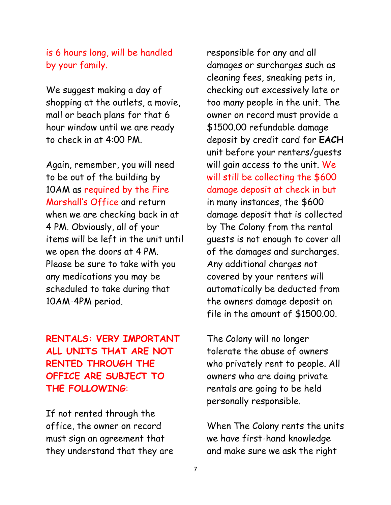### is 6 hours long, will be handled by your family.

We suggest making a day of shopping at the outlets, a movie, mall or beach plans for that 6 hour window until we are ready to check in at 4:00 PM.

Again, remember, you will need to be out of the building by 10AM as required by the Fire Marshall's Office and return when we are checking back in at 4 PM. Obviously, all of your items will be left in the unit until we open the doors at 4 PM. Please be sure to take with you any medications you may be scheduled to take during that 10AM-4PM period.

# **RENTALS: VERY IMPORTANT ALL UNITS THAT ARE NOT RENTED THROUGH THE OFFICE ARE SUBJECT TO THE FOLLOWING**:

If not rented through the office, the owner on record must sign an agreement that they understand that they are responsible for any and all damages or surcharges such as cleaning fees, sneaking pets in, checking out excessively late or too many people in the unit. The owner on record must provide a \$1500.00 refundable damage deposit by credit card for **EACH** unit before your renters/guests will gain access to the unit. We will still be collecting the \$600 damage deposit at check in but in many instances, the \$600 damage deposit that is collected by The Colony from the rental guests is not enough to cover all of the damages and surcharges. Any additional charges not covered by your renters will automatically be deducted from the owners damage deposit on file in the amount of \$1500.00.

The Colony will no longer tolerate the abuse of owners who privately rent to people. All owners who are doing private rentals are going to be held personally responsible.

When The Colony rents the units we have first-hand knowledge and make sure we ask the right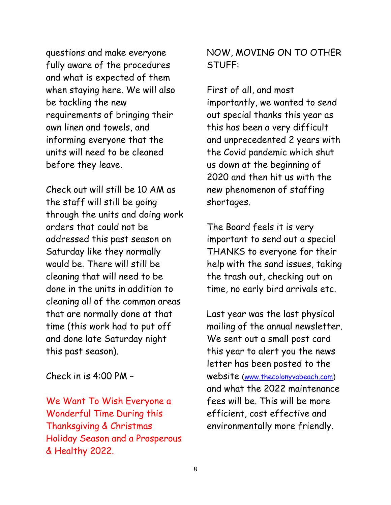questions and make everyone fully aware of the procedures and what is expected of them when staying here. We will also be tackling the new requirements of bringing their own linen and towels, and informing everyone that the units will need to be cleaned before they leave.

Check out will still be 10 AM as the staff will still be going through the units and doing work orders that could not be addressed this past season on Saturday like they normally would be. There will still be cleaning that will need to be done in the units in addition to cleaning all of the common areas that are normally done at that time (this work had to put off and done late Saturday night this past season).

Check in is 4:00 PM –

We Want To Wish Everyone a Wonderful Time During this Thanksgiving & Christmas Holiday Season and a Prosperous & Healthy 2022.

### NOW, MOVING ON TO OTHER STUFF:

First of all, and most importantly, we wanted to send out special thanks this year as this has been a very difficult and unprecedented 2 years with the Covid pandemic which shut us down at the beginning of 2020 and then hit us with the new phenomenon of staffing shortages.

The Board feels it is very important to send out a special THANKS to everyone for their help with the sand issues, taking the trash out, checking out on time, no early bird arrivals etc.

Last year was the last physical mailing of the annual newsletter. We sent out a small post card this year to alert you the news letter has been posted to the website [\(www.thecolonyvabeach.com\)](http://www.thecolonyvabeach.com/) and what the 2022 maintenance fees will be. This will be more efficient, cost effective and environmentally more friendly.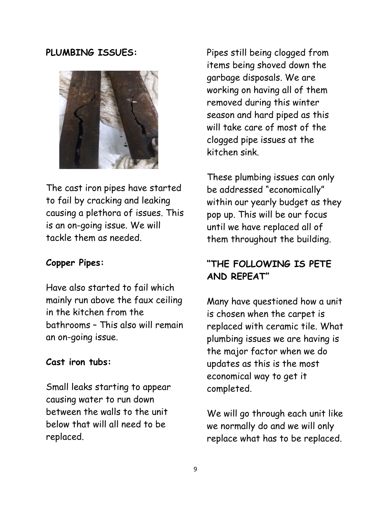### **PLUMBING ISSUES:**



The cast iron pipes have started to fail by cracking and leaking causing a plethora of issues. This is an on-going issue. We will tackle them as needed.

### **Copper Pipes:**

Have also started to fail which mainly run above the faux ceiling in the kitchen from the bathrooms – This also will remain an on-going issue.

#### **Cast iron tubs:**

Small leaks starting to appear causing water to run down between the walls to the unit below that will all need to be replaced.

Pipes still being clogged from items being shoved down the garbage disposals. We are working on having all of them removed during this winter season and hard piped as this will take care of most of the clogged pipe issues at the kitchen sink.

These plumbing issues can only be addressed "economically" within our yearly budget as they pop up. This will be our focus until we have replaced all of them throughout the building.

### **"THE FOLLOWING IS PETE AND REPEAT"**

Many have questioned how a unit is chosen when the carpet is replaced with ceramic tile. What plumbing issues we are having is the major factor when we do updates as this is the most economical way to get it completed.

We will go through each unit like we normally do and we will only replace what has to be replaced.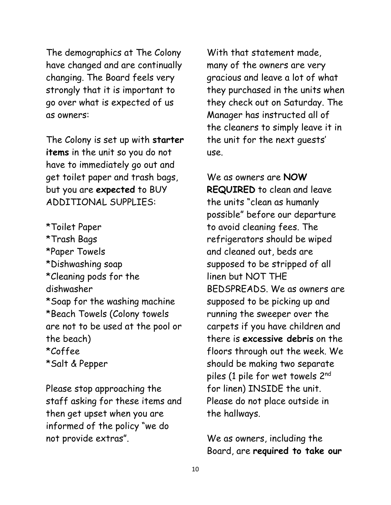The demographics at The Colony have changed and are continually changing. The Board feels very strongly that it is important to go over what is expected of us as owners:

The Colony is set up with **starter items** in the unit so you do not have to immediately go out and get toilet paper and trash bags, but you are **expected** to BUY ADDITIONAL SUPPLIES:

\*Toilet Paper \*Trash Bags \*Paper Towels \*Dishwashing soap \*Cleaning pods for the dishwasher \*Soap for the washing machine \*Beach Towels (Colony towels are not to be used at the pool or the beach) \*Coffee \*Salt & Pepper

Please stop approaching the staff asking for these items and then get upset when you are informed of the policy "we do not provide extras".

With that statement made, many of the owners are very gracious and leave a lot of what they purchased in the units when they check out on Saturday. The Manager has instructed all of the cleaners to simply leave it in the unit for the next guests' use.

We as owners are **NOW REQUIRED** to clean and leave the units "clean as humanly possible" before our departure to avoid cleaning fees. The refrigerators should be wiped and cleaned out, beds are supposed to be stripped of all linen but NOT THE BEDSPREADS. We as owners are supposed to be picking up and running the sweeper over the carpets if you have children and there is **excessive debris** on the floors through out the week. We should be making two separate piles (1 pile for wet towels 2<sup>nd</sup> for linen) INSIDE the unit. Please do not place outside in the hallways.

We as owners, including the Board, are **required to take our**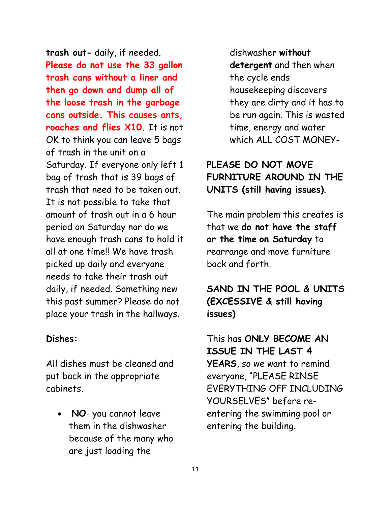**trash out-** daily, if needed. **Please do not use the 33 gallon trash cans without a liner and then go down and dump all of the loose trash in the garbage cans outside. This causes ants, roaches and flies X10.** It is not OK to think you can leave 5 bags of trash in the unit on a Saturday. If everyone only left 1 bag of trash that is 39 bags of trash that need to be taken out. It is not possible to take that amount of trash out in a 6 hour period on Saturday nor do we have enough trash cans to hold it all at one time!! We have trash picked up daily and everyone needs to take their trash out daily, if needed. Something new this past summer? Please do not place your trash in the hallways.

### **Dishes:**

All dishes must be cleaned and put back in the appropriate cabinets.

• **NO**- you cannot leave them in the dishwasher because of the many who are just loading the

dishwasher **without detergent** and then when the cycle ends housekeeping discovers they are dirty and it has to be run again. This is wasted time, energy and water which ALL COST MONEY-

# **PLEASE DO NOT MOVE FURNITURE AROUND IN THE UNITS (still having issues)**.

The main problem this creates is that we **do not have the staff or the time on Saturday** to rearrange and move furniture back and forth.

# **SAND IN THE POOL & UNITS (EXCESSIVE & still having issues)**

This has **ONLY BECOME AN ISSUE IN THE LAST 4 YEARS**, so we want to remind everyone, "PLEASE RINSE EVERYTHING OFF INCLUDING YOURSELVES" before reentering the swimming pool or entering the building.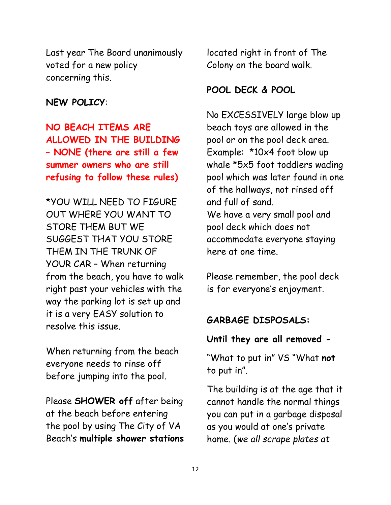Last year The Board unanimously voted for a new policy concerning this.

#### **NEW POLICY**:

**NO BEACH ITEMS ARE ALLOWED IN THE BUILDING – NONE (there are still a few summer owners who are still refusing to follow these rules)**

\*YOU WILL NEED TO FIGURE OUT WHERE YOU WANT TO STORE THEM BUT WE SUGGEST THAT YOU STORE THEM IN THE TRUNK OF YOUR CAR – When returning from the beach, you have to walk right past your vehicles with the way the parking lot is set up and it is a very EASY solution to resolve this issue.

When returning from the beach everyone needs to rinse off before jumping into the pool.

Please **SHOWER off** after being at the beach before entering the pool by using The City of VA Beach's **multiple shower stations**

located right in front of The Colony on the board walk.

#### **POOL DECK & POOL**

No EXCESSIVELY large blow up beach toys are allowed in the pool or on the pool deck area. Example: \*10x4 foot blow up whale \*5x5 foot toddlers wading pool which was later found in one of the hallways, not rinsed off and full of sand. We have a very small pool and pool deck which does not accommodate everyone staying here at one time.

Please remember, the pool deck is for everyone's enjoyment.

### **GARBAGE DISPOSALS:**

#### **Until they are all removed -**

"What to put in" VS "What **not** to put in".

The building is at the age that it cannot handle the normal things you can put in a garbage disposal as you would at one's private home. (*we all scrape plates at*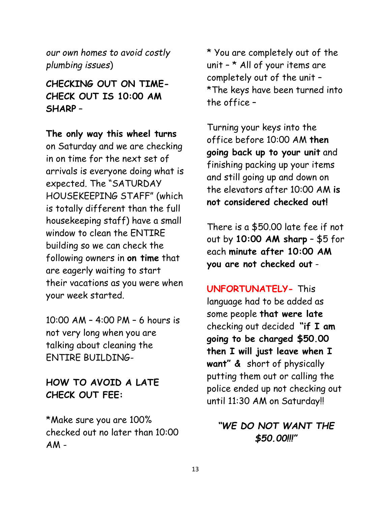*our own homes to avoid costly plumbing issues*)

# **CHECKING OUT ON TIME-CHECK OUT IS 10:00 AM SHARP** –

**The only way this wheel turns** on Saturday and we are checking in on time for the next set of arrivals is everyone doing what is expected. The "SATURDAY HOUSEKEEPING STAFF" (which is totally different than the full housekeeping staff) have a small window to clean the ENTIRE building so we can check the following owners in **on time** that are eagerly waiting to start their vacations as you were when your week started.

10:00 AM – 4:00 PM – 6 hours is not very long when you are talking about cleaning the ENTIRE BUILDING-

# **HOW TO AVOID A LATE CHECK OUT FEE:**

\*Make sure you are 100% checked out no later than 10:00  $AM -$ 

\* You are completely out of the unit  $-$  \* All of your items are completely out of the unit – \*The keys have been turned into the office –

Turning your keys into the office before 10:00 AM **then going back up to your unit** and finishing packing up your items and still going up and down on the elevators after 10:00 AM **is not considered checked out!**

There is a \$50.00 late fee if not out by **10:00 AM sharp** – \$5 for each **minute after 10:00 AM you are not checked out** -

**UNFORTUNATELY-** This language had to be added as some people **that were late** checking out decided **"if I am going to be charged \$50.00 then I will just leave when I want" &** short of physically putting them out or calling the police ended up not checking out until 11:30 AM on Saturday!!

# *"WE DO NOT WANT THE \$50.00!!!"*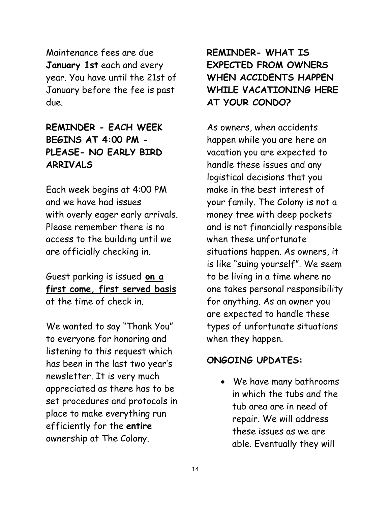Maintenance fees are due **January 1st** each and every year. You have until the 21st of January before the fee is past due.

# **REMINDER - EACH WEEK BEGINS AT 4:00 PM - PLEASE- NO EARLY BIRD ARRIVALS**

Each week begins at 4:00 PM and we have had issues with overly eager early arrivals. Please remember there is no access to the building until we are officially checking in.

Guest parking is issued **on a first come, first served basis** at the time of check in.

We wanted to say "Thank You" to everyone for honoring and listening to this request which has been in the last two year's newsletter. It is very much appreciated as there has to be set procedures and protocols in place to make everything run efficiently for the **entire** ownership at The Colony.

# **REMINDER- WHAT IS EXPECTED FROM OWNERS WHEN ACCIDENTS HAPPEN WHILE VACATIONING HERE AT YOUR CONDO?**

As owners, when accidents happen while you are here on vacation you are expected to handle these issues and any logistical decisions that you make in the best interest of your family. The Colony is not a money tree with deep pockets and is not financially responsible when these unfortunate situations happen. As owners, it is like "suing yourself". We seem to be living in a time where no one takes personal responsibility for anything. As an owner you are expected to handle these types of unfortunate situations when they happen.

### **ONGOING UPDATES:**

• We have many bathrooms in which the tubs and the tub area are in need of repair. We will address these issues as we are able. Eventually they will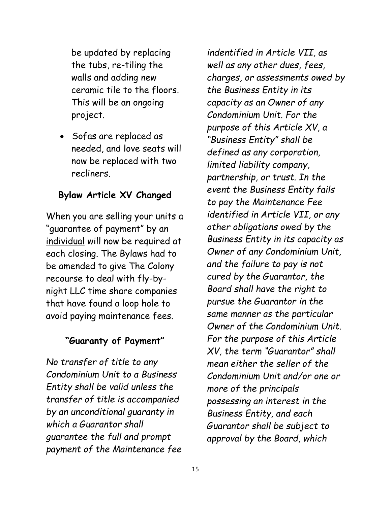be updated by replacing the tubs, re-tiling the walls and adding new ceramic tile to the floors. This will be an ongoing project.

• Sofas are replaced as needed, and love seats will now be replaced with two recliners.

### **Bylaw Article XV Changed**

When you are selling your units a "guarantee of payment" by an individual will now be required at each closing. The Bylaws had to be amended to give The Colony recourse to deal with fly-bynight LLC time share companies that have found a loop hole to avoid paying maintenance fees.

### **"Guaranty of Payment"**

*No transfer of title to any Condominium Unit to a Business Entity shall be valid unless the transfer of title is accompanied by an unconditional guaranty in which a Guarantor shall guarantee the full and prompt payment of the Maintenance fee* 

*indentified in Article VII, as well as any other dues, fees, charges, or assessments owed by the Business Entity in its capacity as an Owner of any Condominium Unit. For the purpose of this Article XV, a "Business Entity" shall be defined as any corporation, limited liability company, partnership, or trust. In the event the Business Entity fails to pay the Maintenance Fee identified in Article VII, or any other obligations owed by the Business Entity in its capacity as Owner of any Condominium Unit, and the failure to pay is not cured by the Guarantor, the Board shall have the right to pursue the Guarantor in the same manner as the particular Owner of the Condominium Unit. For the purpose of this Article XV, the term "Guarantor" shall mean either the seller of the Condominium Unit and/or one or more of the principals possessing an interest in the Business Entity, and each Guarantor shall be subject to approval by the Board, which*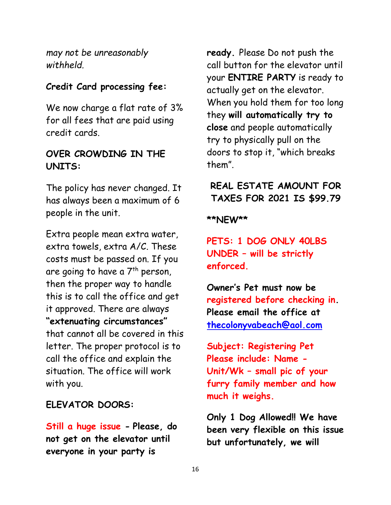*may not be unreasonably withheld.*

### **Credit Card processing fee:**

We now charge a flat rate of 3% for all fees that are paid using credit cards.

### **OVER CROWDING IN THE UNITS:**

The policy has never changed. It has always been a maximum of 6 people in the unit.

Extra people mean extra water, extra towels, extra A/C. These costs must be passed on. If you are going to have a  $7<sup>th</sup>$  person, then the proper way to handle this is to call the office and get it approved. There are always **"extenuating circumstances"** that cannot all be covered in this letter. The proper protocol is to call the office and explain the situation. The office will work with you.

### **ELEVATOR DOORS:**

**Still a huge issue - Please, do not get on the elevator until everyone in your party is** 

**ready.** Please Do not push the call button for the elevator until your **ENTIRE PARTY** is ready to actually get on the elevator. When you hold them for too long they **will automatically try to close** and people automatically try to physically pull on the doors to stop it, "which breaks them".

# **REAL ESTATE AMOUNT FOR TAXES FOR 2021 IS \$99.79**

**\*\*NEW\*\*** 

**PETS: 1 DOG ONLY 40LBS UNDER – will be strictly enforced.**

**Owner's Pet must now be registered before checking in. Please email the office at [thecolonyvabeach@aol.com](mailto:thecolonyvabeach@aol.com)**

**Subject: Registering Pet Please include: Name - Unit/Wk – small pic of your furry family member and how much it weighs.** 

**Only 1 Dog Allowed!! We have been very flexible on this issue but unfortunately, we will**